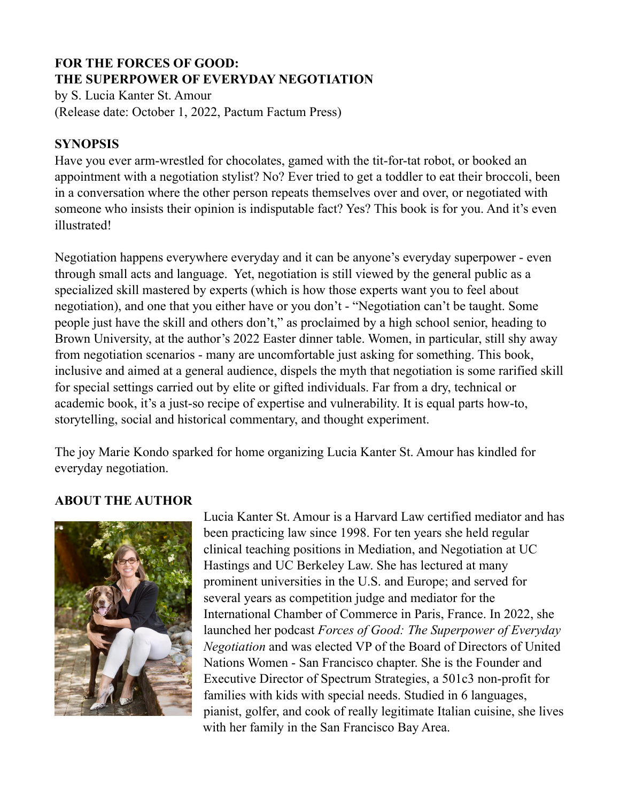# **FOR THE FORCES OF GOOD: THE SUPERPOWER OF EVERYDAY NEGOTIATION**

by S. Lucia Kanter St. Amour (Release date: October 1, 2022, Pactum Factum Press)

### **SYNOPSIS**

Have you ever arm-wrestled for chocolates, gamed with the tit-for-tat robot, or booked an appointment with a negotiation stylist? No? Ever tried to get a toddler to eat their broccoli, been in a conversation where the other person repeats themselves over and over, or negotiated with someone who insists their opinion is indisputable fact? Yes? This book is for you. And it's even illustrated!

Negotiation happens everywhere everyday and it can be anyone's everyday superpower - even through small acts and language. Yet, negotiation is still viewed by the general public as a specialized skill mastered by experts (which is how those experts want you to feel about negotiation), and one that you either have or you don't - "Negotiation can't be taught. Some people just have the skill and others don't," as proclaimed by a high school senior, heading to Brown University, at the author's 2022 Easter dinner table. Women, in particular, still shy away from negotiation scenarios - many are uncomfortable just asking for something. This book, inclusive and aimed at a general audience, dispels the myth that negotiation is some rarified skill for special settings carried out by elite or gifted individuals. Far from a dry, technical or academic book, it's a just-so recipe of expertise and vulnerability. It is equal parts how-to, storytelling, social and historical commentary, and thought experiment.

The joy Marie Kondo sparked for home organizing Lucia Kanter St. Amour has kindled for everyday negotiation.

# **ABOUT THE AUTHOR**



Lucia Kanter St. Amour is a Harvard Law certified mediator and has been practicing law since 1998. For ten years she held regular clinical teaching positions in Mediation, and Negotiation at UC Hastings and UC Berkeley Law. She has lectured at many prominent universities in the U.S. and Europe; and served for several years as competition judge and mediator for the International Chamber of Commerce in Paris, France. In 2022, she launched her podcast *Forces of Good: The Superpower of Everyday Negotiation* and was elected VP of the Board of Directors of United Nations Women - San Francisco chapter. She is the Founder and Executive Director of Spectrum Strategies, a 501c3 non-profit for families with kids with special needs. Studied in 6 languages, pianist, golfer, and cook of really legitimate Italian cuisine, she lives with her family in the San Francisco Bay Area.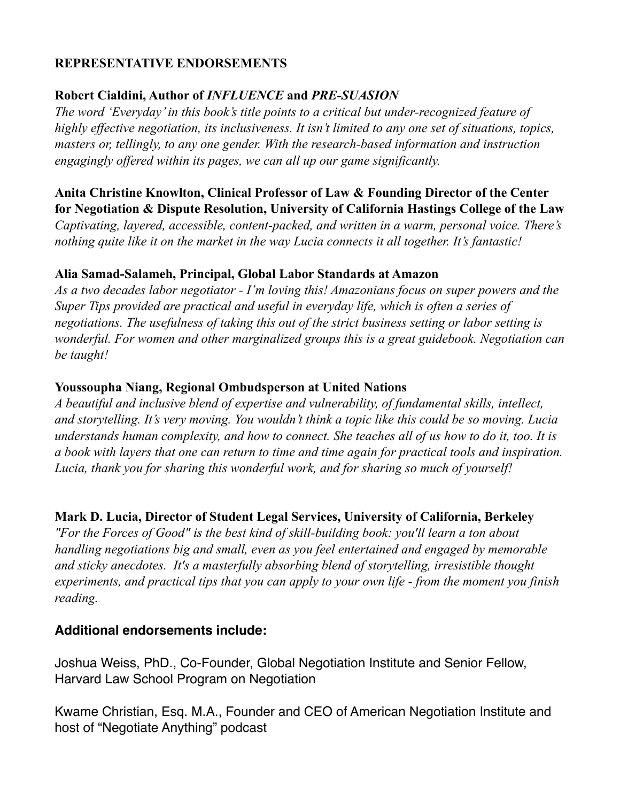# **REPRESENTATIVE ENDORSEMENTS**

# **Robert Cialdini, Author of** *INFLUENCE* **and** *PRE-SUASION*

*The word 'Everyday' in this book's title points to a critical but under-recognized feature of highly effective negotiation, its inclusiveness. It isn't limited to any one set of situations, topics, masters or, tellingly, to any one gender. With the research-based information and instruction engagingly offered within its pages, we can all up our game significantly.*

**Anita Christine Knowlton, Clinical Professor of Law & Founding Director of the Center for Negotiation & Dispute Resolution, University of California Hastings College of the Law** *Captivating, layered, accessible, content-packed, and written in a warm, personal voice. There's nothing quite like it on the market in the way Lucia connects it all together. It's fantastic!*

#### **Alia Samad-Salameh, Principal, Global Labor Standards at Amazon**

*As a two decades labor negotiator - I'm loving this! Amazonians focus on super powers and the Super Tips provided are practical and useful in everyday life, which is often a series of negotiations. The usefulness of taking this out of the strict business setting or labor setting is wonderful. For women and other marginalized groups this is a great guidebook. Negotiation can be taught!*

#### **Youssoupha Niang, Regional Ombudsperson at United Nations**

*A beautiful and inclusive blend of expertise and vulnerability, of fundamental skills, intellect, and storytelling. It's very moving. You wouldn't think a topic like this could be so moving. Lucia understands human complexity, and how to connect. She teaches all of us how to do it, too. It is a book with layers that one can return to time and time again for practical tools and inspiration. Lucia, thank you for sharing this wonderful work, and for sharing so much of yourself!*

# **Mark D. Lucia, Director of Student Legal Services, University of California, Berkeley**

*"For the Forces of Good" is the best kind of skill-building book: you'll learn a ton about handling negotiations big and small, even as you feel entertained and engaged by memorable and sticky anecdotes. It's a masterfully absorbing blend of storytelling, irresistible thought experiments, and practical tips that you can apply to your own life - from the moment you finish reading.*

# **Additional endorsements include:**

Joshua Weiss, PhD., Co-Founder, Global Negotiation Institute and Senior Fellow, Harvard Law School Program on Negotiation

Kwame Christian, Esq. M.A., Founder and CEO of American Negotiation Institute and host of "Negotiate Anything" podcast